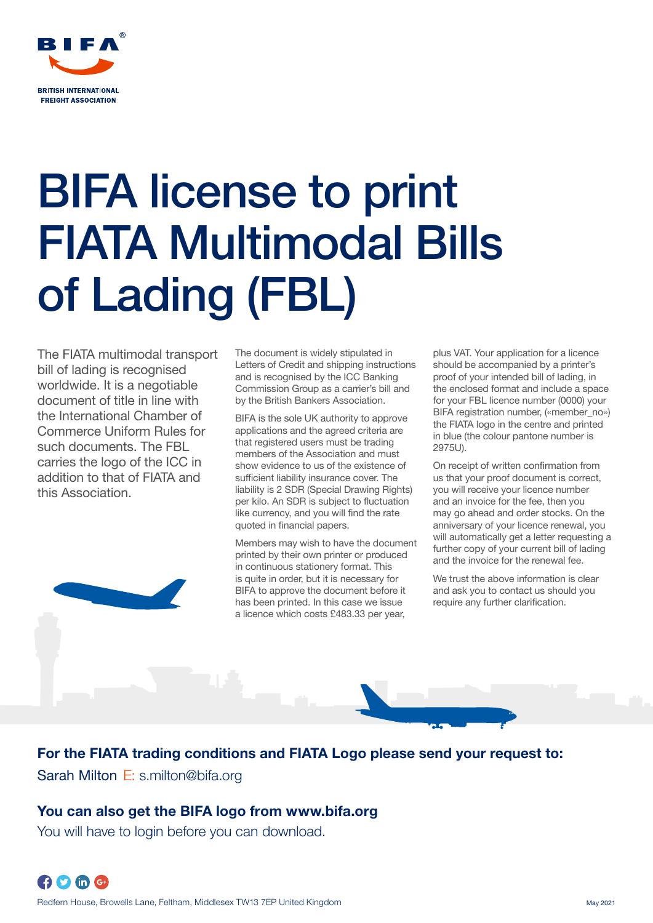

# BIFA license to print FIATA Multimodal Bills of Lading (FBL)

The FIATA multimodal transport bill of lading is recognised worldwide. It is a negotiable document of title in line with the International Chamber of Commerce Uniform Rules for such documents. The FBL carries the logo of the ICC in addition to that of FIATA and this Association.

The document is widely stipulated in Letters of Credit and shipping instructions and is recognised by the ICC Banking Commission Group as a carrier's bill and by the British Bankers Association.

BIFA is the sole UK authority to approve applications and the agreed criteria are that registered users must be trading members of the Association and must show evidence to us of the existence of sufficient liability insurance cover. The liability is 2 SDR (Special Drawing Rights) per kilo. An SDR is subject to fluctuation like currency, and you will find the rate quoted in financial papers.

Members may wish to have the document printed by their own printer or produced in continuous stationery format. This is quite in order, but it is necessary for BIFA to approve the document before it has been printed. In this case we issue a licence which costs £483.33 per year,

plus VAT. Your application for a licence should be accompanied by a printer's proof of your intended bill of lading, in the enclosed format and include a space for your FBL licence number (0000) your BIFA registration number, («member\_no») the FIATA logo in the centre and printed in blue (the colour pantone number is 2975U).

On receipt of written confirmation from us that your proof document is correct, you will receive your licence number and an invoice for the fee, then you may go ahead and order stocks. On the anniversary of your licence renewal, you will automatically get a letter requesting a further copy of your current bill of lading and the invoice for the renewal fee.

We trust the above information is clear and ask you to contact us should you require any further clarification.



For the FIATA trading conditions and FIATA Logo please send your request to: Sarah Milton E: s.milton@bifa.org

# You can also get the BIFA logo from www.bifa.org

You will have to login before you can download.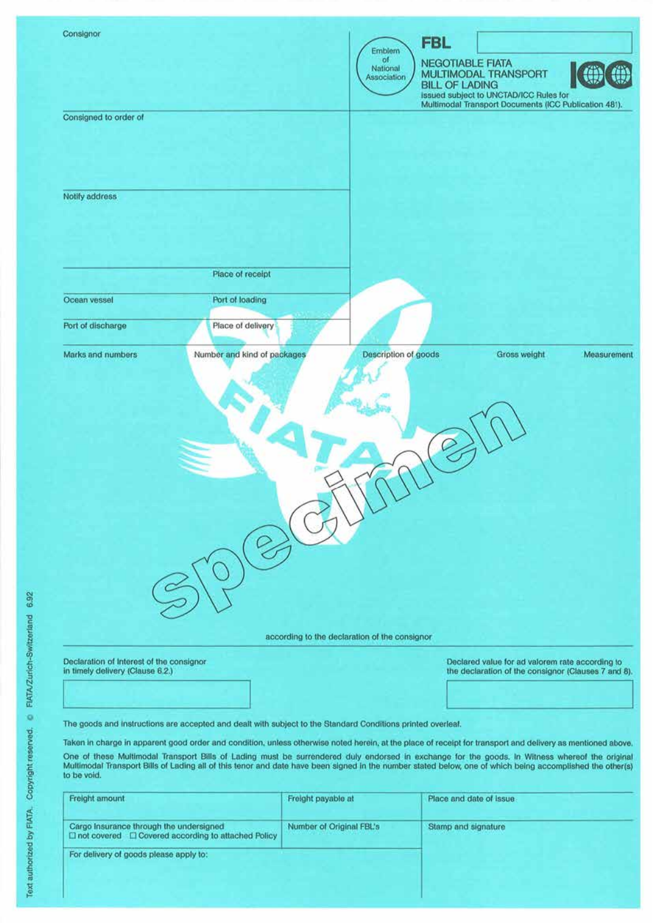| Consignor                                |                                                                                                                                                             |                                               |                         |                                                       |             |
|------------------------------------------|-------------------------------------------------------------------------------------------------------------------------------------------------------------|-----------------------------------------------|-------------------------|-------------------------------------------------------|-------------|
|                                          |                                                                                                                                                             | Emblem                                        | <b>FBL</b>              |                                                       |             |
|                                          |                                                                                                                                                             | of.<br>National                               | <b>NEGOTIABLE FIATA</b> |                                                       |             |
|                                          |                                                                                                                                                             | Association                                   | <b>BILL OF LADING</b>   | <b>MULTIMODAL TRANSPORT</b>                           |             |
|                                          |                                                                                                                                                             |                                               |                         | issued subject to UNCTAD/ICC Rules for                |             |
| Consigned to order of                    |                                                                                                                                                             |                                               |                         | Multimodal Transport Documents (ICC Publication 481). |             |
|                                          |                                                                                                                                                             |                                               |                         |                                                       |             |
|                                          |                                                                                                                                                             |                                               |                         |                                                       |             |
|                                          |                                                                                                                                                             |                                               |                         |                                                       |             |
|                                          |                                                                                                                                                             |                                               |                         |                                                       |             |
| Notify address                           |                                                                                                                                                             |                                               |                         |                                                       |             |
|                                          |                                                                                                                                                             |                                               |                         |                                                       |             |
|                                          |                                                                                                                                                             |                                               |                         |                                                       |             |
|                                          |                                                                                                                                                             |                                               |                         |                                                       |             |
|                                          |                                                                                                                                                             |                                               |                         |                                                       |             |
|                                          | Place of receipt                                                                                                                                            |                                               |                         |                                                       |             |
|                                          |                                                                                                                                                             |                                               |                         |                                                       |             |
| Ocean vessel                             | Port of loading                                                                                                                                             |                                               |                         |                                                       |             |
| Port of discharge                        | Place of delivery                                                                                                                                           |                                               |                         |                                                       |             |
|                                          |                                                                                                                                                             |                                               |                         |                                                       |             |
| Marks and numbers                        | Number and kind of packages                                                                                                                                 | Description of goods                          |                         | Gross weight                                          | Measurement |
|                                          |                                                                                                                                                             |                                               |                         |                                                       |             |
|                                          |                                                                                                                                                             |                                               |                         |                                                       |             |
|                                          |                                                                                                                                                             |                                               |                         |                                                       |             |
|                                          |                                                                                                                                                             |                                               |                         |                                                       |             |
|                                          |                                                                                                                                                             |                                               |                         |                                                       |             |
|                                          |                                                                                                                                                             |                                               |                         |                                                       |             |
|                                          |                                                                                                                                                             |                                               |                         |                                                       |             |
|                                          |                                                                                                                                                             |                                               |                         |                                                       |             |
|                                          |                                                                                                                                                             |                                               |                         |                                                       |             |
|                                          |                                                                                                                                                             |                                               |                         |                                                       |             |
|                                          |                                                                                                                                                             |                                               |                         |                                                       |             |
|                                          |                                                                                                                                                             |                                               |                         |                                                       |             |
|                                          |                                                                                                                                                             |                                               |                         |                                                       |             |
|                                          |                                                                                                                                                             |                                               |                         |                                                       |             |
|                                          |                                                                                                                                                             |                                               |                         |                                                       |             |
|                                          |                                                                                                                                                             |                                               |                         |                                                       |             |
|                                          |                                                                                                                                                             |                                               |                         |                                                       |             |
|                                          |                                                                                                                                                             |                                               |                         |                                                       |             |
|                                          |                                                                                                                                                             | according to the declaration of the consignor |                         |                                                       |             |
| Declaration of Interest of the consignor |                                                                                                                                                             |                                               |                         | Declared value for ad valorem rate according to       |             |
| in timely delivery (Clause 6.2.)         |                                                                                                                                                             |                                               |                         | the declaration of the consignor (Clauses 7 and 8).   |             |
|                                          |                                                                                                                                                             |                                               |                         |                                                       |             |
|                                          |                                                                                                                                                             |                                               |                         |                                                       |             |
|                                          | The goods and instructions are accepted and dealt with subject to the Standard Conditions printed overleaf.                                                 |                                               |                         |                                                       |             |
|                                          | Taken in charge in apparent good order and condition, unless otherwise noted herein, at the place of receipt for transport and delivery as mentioned above. |                                               |                         |                                                       |             |
|                                          | One of these Multimodal Transport Bills of Lading must be surrendered duly endorsed in exchange for the goods. In Witness whereof the original              |                                               |                         |                                                       |             |
|                                          | Multimodal Transport Bills of Lading all of this tenor and date have been signed in the number stated below, one of which being accomplished the other(s)   |                                               |                         |                                                       |             |
| to be void.                              |                                                                                                                                                             |                                               |                         |                                                       |             |
| Freight amount                           |                                                                                                                                                             | Freight payable at                            | Place and date of issue |                                                       |             |
|                                          |                                                                                                                                                             |                                               |                         |                                                       |             |

| Freight amount                                                                                            | Freight payable at       | Place and date of issue |
|-----------------------------------------------------------------------------------------------------------|--------------------------|-------------------------|
| Cargo Insurance through the undersigned<br>$\Box$ not covered $\Box$ Covered according to attached Policy | Number of Original FBL's | Stamp and signature     |
| For delivery of goods please apply to:                                                                    |                          |                         |
|                                                                                                           |                          |                         |